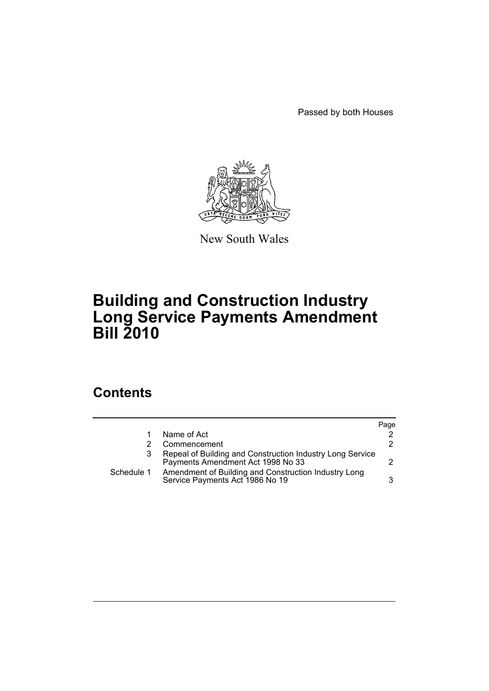Passed by both Houses



New South Wales

# **Building and Construction Industry Long Service Payments Amendment Bill 2010**

## **Contents**

|            |                                                                                                | Page |
|------------|------------------------------------------------------------------------------------------------|------|
|            | Name of Act                                                                                    | 2    |
|            | Commencement                                                                                   | 2.   |
|            | Repeal of Building and Construction Industry Long Service<br>Payments Amendment Act 1998 No 33 |      |
| Schedule 1 | Amendment of Building and Construction Industry Long<br>Service Payments Act 1986 No 19        | 3    |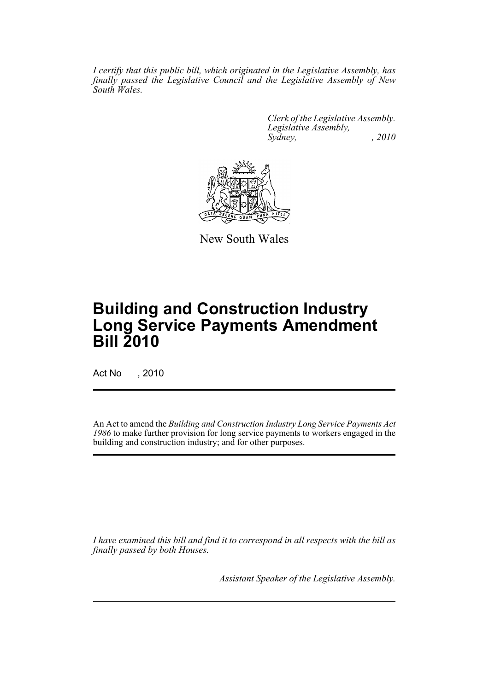*I certify that this public bill, which originated in the Legislative Assembly, has finally passed the Legislative Council and the Legislative Assembly of New South Wales.*

> *Clerk of the Legislative Assembly. Legislative Assembly, Sydney, , 2010*



New South Wales

# **Building and Construction Industry Long Service Payments Amendment Bill 2010**

Act No , 2010

An Act to amend the *Building and Construction Industry Long Service Payments Act 1986* to make further provision for long service payments to workers engaged in the building and construction industry; and for other purposes.

*I have examined this bill and find it to correspond in all respects with the bill as finally passed by both Houses.*

*Assistant Speaker of the Legislative Assembly.*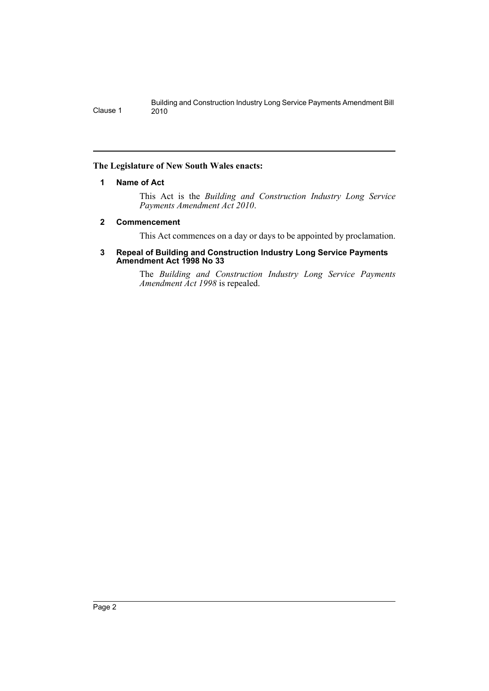## <span id="page-2-0"></span>**The Legislature of New South Wales enacts:**

## **1 Name of Act**

This Act is the *Building and Construction Industry Long Service Payments Amendment Act 2010*.

## <span id="page-2-1"></span>**2 Commencement**

This Act commences on a day or days to be appointed by proclamation.

#### <span id="page-2-2"></span>**3 Repeal of Building and Construction Industry Long Service Payments Amendment Act 1998 No 33**

The *Building and Construction Industry Long Service Payments Amendment Act 1998* is repealed.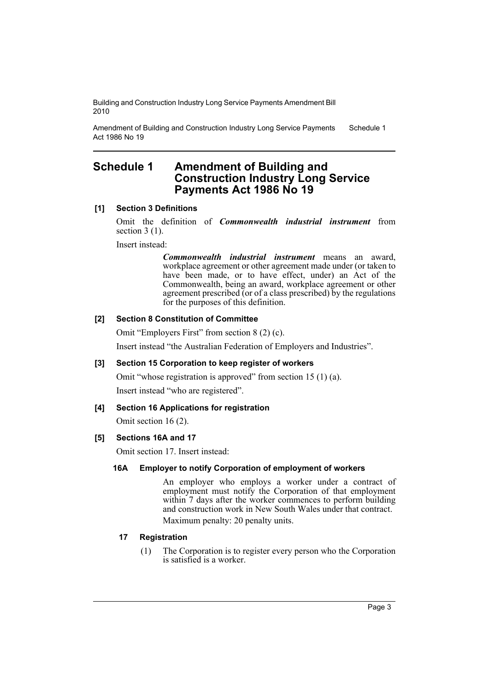Amendment of Building and Construction Industry Long Service Payments Act 1986 No 19 Schedule 1

## <span id="page-3-0"></span>**Schedule 1 Amendment of Building and Construction Industry Long Service Payments Act 1986 No 19**

## **[1] Section 3 Definitions**

Omit the definition of *Commonwealth industrial instrument* from section  $3(1)$ .

Insert instead:

*Commonwealth industrial instrument* means an award, workplace agreement or other agreement made under (or taken to have been made, or to have effect, under) an Act of the Commonwealth, being an award, workplace agreement or other agreement prescribed (or of a class prescribed) by the regulations for the purposes of this definition.

## **[2] Section 8 Constitution of Committee**

Omit "Employers First" from section 8 (2) (c).

Insert instead "the Australian Federation of Employers and Industries".

## **[3] Section 15 Corporation to keep register of workers**

Omit "whose registration is approved" from section 15 (1) (a).

Insert instead "who are registered".

## **[4] Section 16 Applications for registration**

Omit section 16 (2).

## **[5] Sections 16A and 17**

Omit section 17. Insert instead:

## **16A Employer to notify Corporation of employment of workers**

An employer who employs a worker under a contract of employment must notify the Corporation of that employment within 7 days after the worker commences to perform building and construction work in New South Wales under that contract. Maximum penalty: 20 penalty units.

## **17 Registration**

(1) The Corporation is to register every person who the Corporation is satisfied is a worker.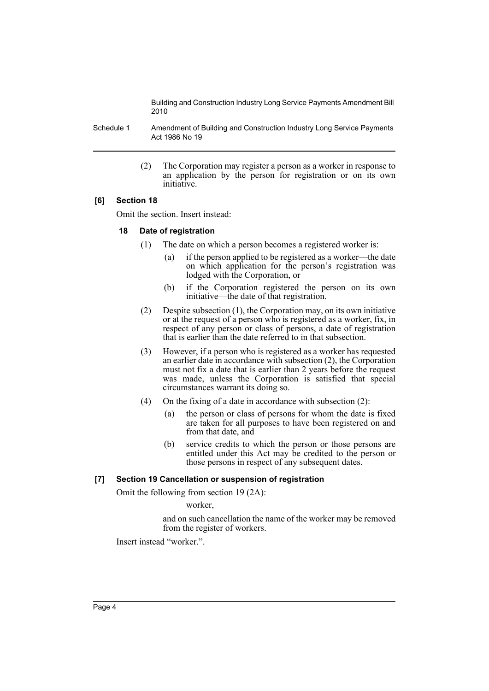Schedule 1 Amendment of Building and Construction Industry Long Service Payments Act 1986 No 19

> (2) The Corporation may register a person as a worker in response to an application by the person for registration or on its own initiative.

## **[6] Section 18**

Omit the section. Insert instead:

## **18 Date of registration**

- (1) The date on which a person becomes a registered worker is:
	- (a) if the person applied to be registered as a worker—the date on which application for the person's registration was lodged with the Corporation, or
	- (b) if the Corporation registered the person on its own initiative—the date of that registration.
- (2) Despite subsection (1), the Corporation may, on its own initiative or at the request of a person who is registered as a worker, fix, in respect of any person or class of persons, a date of registration that is earlier than the date referred to in that subsection.
- (3) However, if a person who is registered as a worker has requested an earlier date in accordance with subsection (2), the Corporation must not fix a date that is earlier than 2 years before the request was made, unless the Corporation is satisfied that special circumstances warrant its doing so.
- (4) On the fixing of a date in accordance with subsection (2):
	- (a) the person or class of persons for whom the date is fixed are taken for all purposes to have been registered on and from that date, and
	- (b) service credits to which the person or those persons are entitled under this Act may be credited to the person or those persons in respect of any subsequent dates.

#### **[7] Section 19 Cancellation or suspension of registration**

Omit the following from section 19 (2A):

worker

and on such cancellation the name of the worker may be removed from the register of workers.

Insert instead "worker."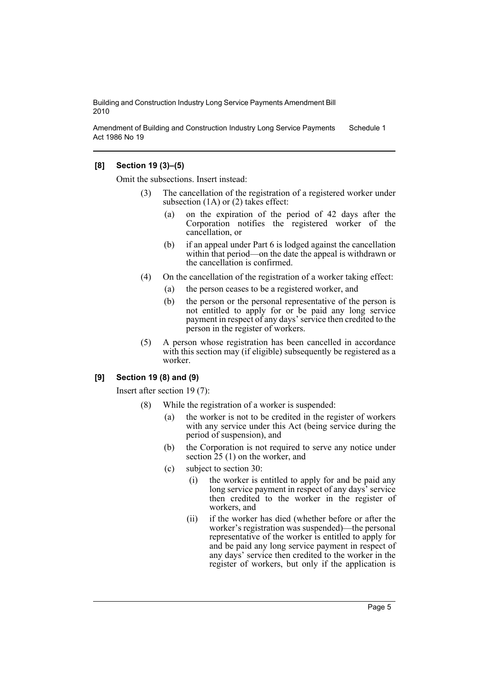Amendment of Building and Construction Industry Long Service Payments Act 1986 No 19 Schedule 1

## **[8] Section 19 (3)–(5)**

Omit the subsections. Insert instead:

- (3) The cancellation of the registration of a registered worker under subsection (1A) or (2) takes effect:
	- (a) on the expiration of the period of 42 days after the Corporation notifies the registered worker of the cancellation, or
	- (b) if an appeal under Part 6 is lodged against the cancellation within that period—on the date the appeal is withdrawn or the cancellation is confirmed.
- (4) On the cancellation of the registration of a worker taking effect:
	- (a) the person ceases to be a registered worker, and
	- (b) the person or the personal representative of the person is not entitled to apply for or be paid any long service payment in respect of any days' service then credited to the person in the register of workers.
- (5) A person whose registration has been cancelled in accordance with this section may (if eligible) subsequently be registered as a worker.

### **[9] Section 19 (8) and (9)**

Insert after section 19 (7):

- (8) While the registration of a worker is suspended:
	- (a) the worker is not to be credited in the register of workers with any service under this Act (being service during the period of suspension), and
	- (b) the Corporation is not required to serve any notice under section 25 (1) on the worker, and
	- (c) subject to section 30:
		- (i) the worker is entitled to apply for and be paid any long service payment in respect of any days' service then credited to the worker in the register of workers, and
		- (ii) if the worker has died (whether before or after the worker's registration was suspended)—the personal representative of the worker is entitled to apply for and be paid any long service payment in respect of any days' service then credited to the worker in the register of workers, but only if the application is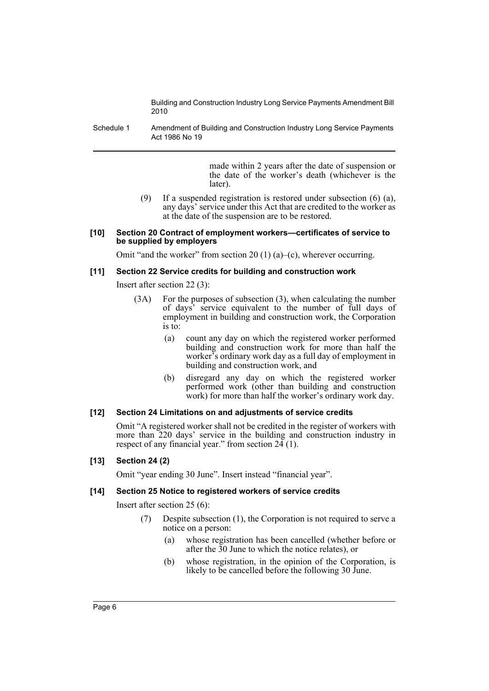Schedule 1 Amendment of Building and Construction Industry Long Service Payments Act 1986 No 19

> made within 2 years after the date of suspension or the date of the worker's death (whichever is the later).

(9) If a suspended registration is restored under subsection (6) (a), any days' service under this Act that are credited to the worker as at the date of the suspension are to be restored.

#### **[10] Section 20 Contract of employment workers—certificates of service to be supplied by employers**

Omit "and the worker" from section 20 (1) (a)–(c), wherever occurring.

#### **[11] Section 22 Service credits for building and construction work**

Insert after section 22 (3):

- (3A) For the purposes of subsection (3), when calculating the number of days' service equivalent to the number of full days of employment in building and construction work, the Corporation is to:
	- (a) count any day on which the registered worker performed building and construction work for more than half the worker's ordinary work day as a full day of employment in building and construction work, and
	- (b) disregard any day on which the registered worker performed work (other than building and construction work) for more than half the worker's ordinary work day.

#### **[12] Section 24 Limitations on and adjustments of service credits**

Omit "A registered worker shall not be credited in the register of workers with more than 220 days' service in the building and construction industry in respect of any financial year." from section  $24(1)$ .

### **[13] Section 24 (2)**

Omit "year ending 30 June". Insert instead "financial year".

#### **[14] Section 25 Notice to registered workers of service credits**

Insert after section 25 (6):

- (7) Despite subsection (1), the Corporation is not required to serve a notice on a person:
	- (a) whose registration has been cancelled (whether before or after the 30 June to which the notice relates), or
	- (b) whose registration, in the opinion of the Corporation, is likely to be cancelled before the following 30 June.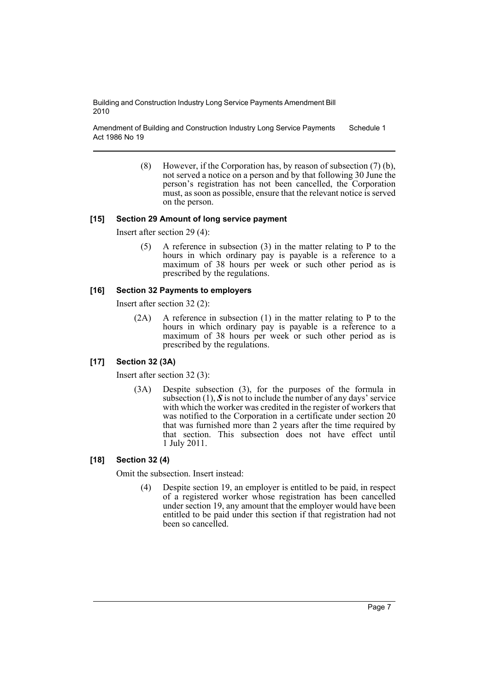Amendment of Building and Construction Industry Long Service Payments Act 1986 No 19 Schedule 1

> (8) However, if the Corporation has, by reason of subsection (7) (b), not served a notice on a person and by that following 30 June the person's registration has not been cancelled, the Corporation must, as soon as possible, ensure that the relevant notice is served on the person.

## **[15] Section 29 Amount of long service payment**

Insert after section 29 (4):

(5) A reference in subsection (3) in the matter relating to P to the hours in which ordinary pay is payable is a reference to a maximum of 38 hours per week or such other period as is prescribed by the regulations.

## **[16] Section 32 Payments to employers**

Insert after section 32 (2):

(2A) A reference in subsection (1) in the matter relating to P to the hours in which ordinary pay is payable is a reference to a maximum of 38 hours per week or such other period as is prescribed by the regulations.

## **[17] Section 32 (3A)**

Insert after section 32 (3):

(3A) Despite subsection (3), for the purposes of the formula in subsection  $(1)$ ,  $\mathbf S$  is not to include the number of any days' service with which the worker was credited in the register of workers that was notified to the Corporation in a certificate under section 20 that was furnished more than 2 years after the time required by that section. This subsection does not have effect until 1 July 2011.

## **[18] Section 32 (4)**

Omit the subsection. Insert instead:

(4) Despite section 19, an employer is entitled to be paid, in respect of a registered worker whose registration has been cancelled under section 19, any amount that the employer would have been entitled to be paid under this section if that registration had not been so cancelled.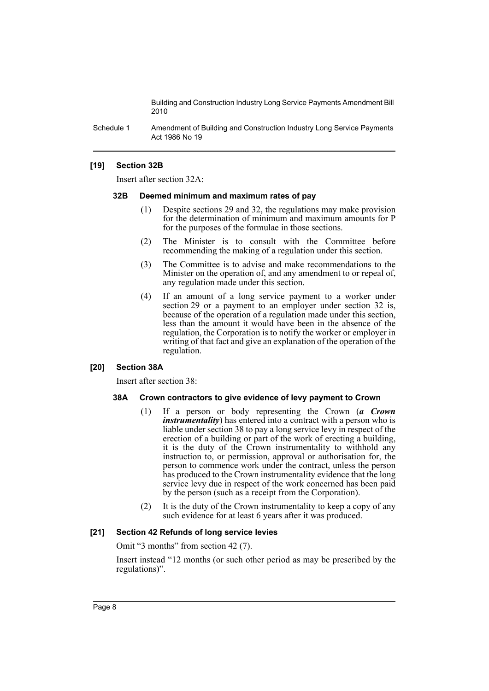Schedule 1 Amendment of Building and Construction Industry Long Service Payments Act 1986 No 19

## **[19] Section 32B**

Insert after section 32A:

#### **32B Deemed minimum and maximum rates of pay**

- (1) Despite sections 29 and 32, the regulations may make provision for the determination of minimum and maximum amounts for P for the purposes of the formulae in those sections.
- (2) The Minister is to consult with the Committee before recommending the making of a regulation under this section.
- (3) The Committee is to advise and make recommendations to the Minister on the operation of, and any amendment to or repeal of, any regulation made under this section.
- (4) If an amount of a long service payment to a worker under section 29 or a payment to an employer under section 32 is, because of the operation of a regulation made under this section, less than the amount it would have been in the absence of the regulation, the Corporation is to notify the worker or employer in writing of that fact and give an explanation of the operation of the regulation.

#### **[20] Section 38A**

Insert after section 38:

#### **38A Crown contractors to give evidence of levy payment to Crown**

- (1) If a person or body representing the Crown (*a Crown instrumentality*) has entered into a contract with a person who is liable under section 38 to pay a long service levy in respect of the erection of a building or part of the work of erecting a building, it is the duty of the Crown instrumentality to withhold any instruction to, or permission, approval or authorisation for, the person to commence work under the contract, unless the person has produced to the Crown instrumentality evidence that the long service levy due in respect of the work concerned has been paid by the person (such as a receipt from the Corporation).
- (2) It is the duty of the Crown instrumentality to keep a copy of any such evidence for at least 6 years after it was produced.

#### **[21] Section 42 Refunds of long service levies**

Omit "3 months" from section 42 (7).

Insert instead "12 months (or such other period as may be prescribed by the regulations)".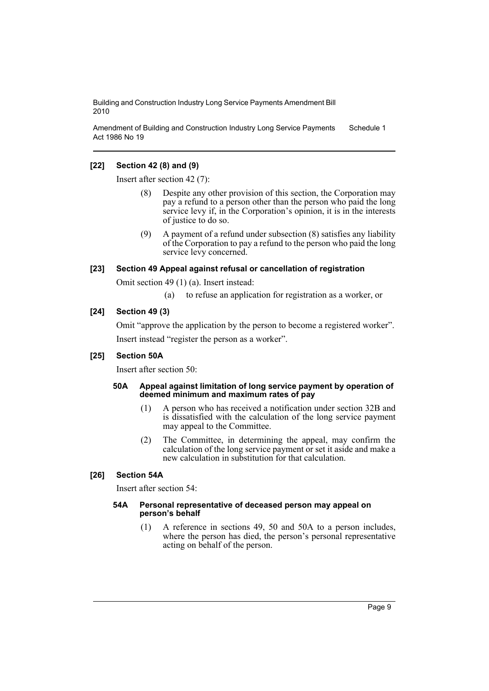Amendment of Building and Construction Industry Long Service Payments Act 1986 No 19 Schedule 1

## **[22] Section 42 (8) and (9)**

Insert after section 42 (7):

- (8) Despite any other provision of this section, the Corporation may pay a refund to a person other than the person who paid the long service levy if, in the Corporation's opinion, it is in the interests of justice to do so.
- (9) A payment of a refund under subsection (8) satisfies any liability of the Corporation to pay a refund to the person who paid the long service levy concerned.

## **[23] Section 49 Appeal against refusal or cancellation of registration**

Omit section 49 (1) (a). Insert instead:

(a) to refuse an application for registration as a worker, or

## **[24] Section 49 (3)**

Omit "approve the application by the person to become a registered worker".

Insert instead "register the person as a worker".

## **[25] Section 50A**

Insert after section 50:

#### **50A Appeal against limitation of long service payment by operation of deemed minimum and maximum rates of pay**

- (1) A person who has received a notification under section 32B and is dissatisfied with the calculation of the long service payment may appeal to the Committee.
- (2) The Committee, in determining the appeal, may confirm the calculation of the long service payment or set it aside and make a new calculation in substitution for that calculation.

## **[26] Section 54A**

Insert after section 54:

#### **54A Personal representative of deceased person may appeal on person's behalf**

(1) A reference in sections 49, 50 and 50A to a person includes, where the person has died, the person's personal representative acting on behalf of the person.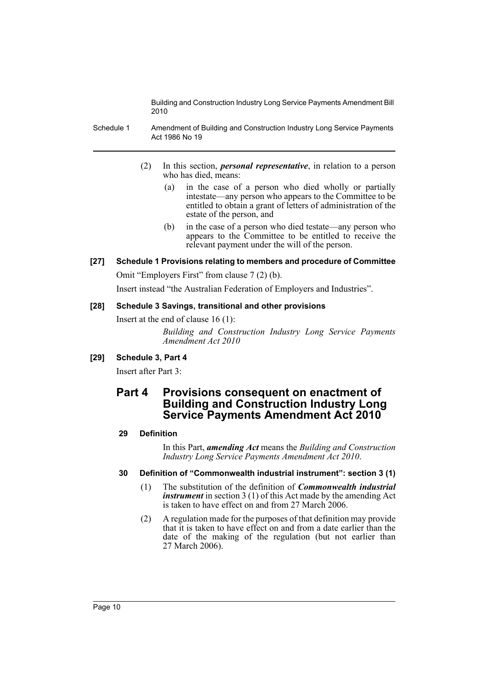- Schedule 1 Amendment of Building and Construction Industry Long Service Payments Act 1986 No 19
	- (2) In this section, *personal representative*, in relation to a person who has died, means:
		- (a) in the case of a person who died wholly or partially intestate—any person who appears to the Committee to be entitled to obtain a grant of letters of administration of the estate of the person, and
		- (b) in the case of a person who died testate—any person who appears to the Committee to be entitled to receive the relevant payment under the will of the person.
- **[27] Schedule 1 Provisions relating to members and procedure of Committee**

Omit "Employers First" from clause 7 (2) (b).

Insert instead "the Australian Federation of Employers and Industries".

## **[28] Schedule 3 Savings, transitional and other provisions**

Insert at the end of clause 16 (1):

*Building and Construction Industry Long Service Payments Amendment Act 2010*

## **[29] Schedule 3, Part 4**

Insert after Part 3:

## **Part 4 Provisions consequent on enactment of Building and Construction Industry Long Service Payments Amendment Act 2010**

## **29 Definition**

In this Part, *amending Act* means the *Building and Construction Industry Long Service Payments Amendment Act 2010*.

## **30 Definition of "Commonwealth industrial instrument": section 3 (1)**

- (1) The substitution of the definition of *Commonwealth industrial instrument* in section 3 (1) of this Act made by the amending Act is taken to have effect on and from 27 March 2006.
- (2) A regulation made for the purposes of that definition may provide that it is taken to have effect on and from a date earlier than the date of the making of the regulation (but not earlier than 27 March 2006).